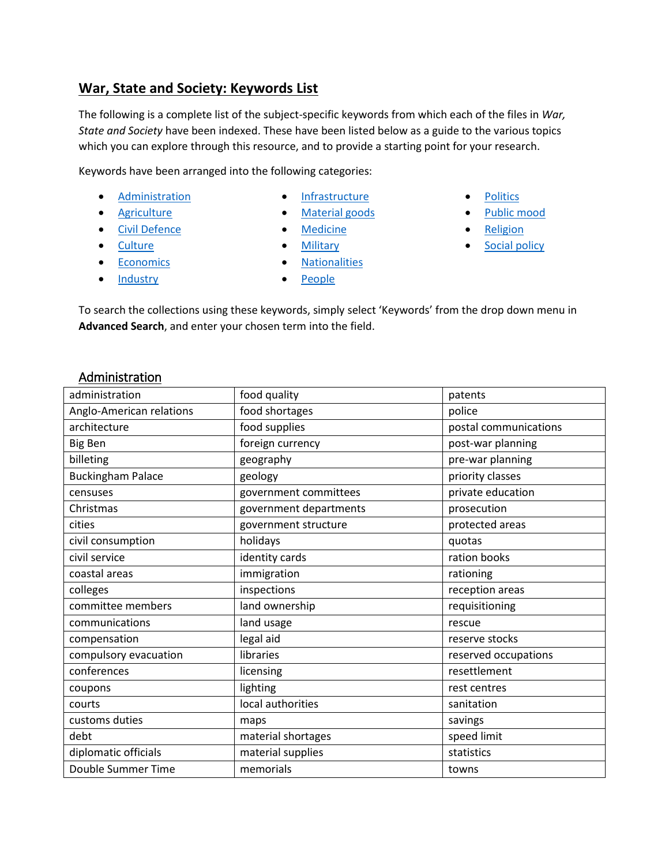#### **War, State and Society: Keywords List**

The following is a complete list of the subject-specific keywords from which each of the files in *War, State and Society* have been indexed. These have been listed below as a guide to the various topics which you can explore through this resource, and to provide a starting point for your research.

Keywords have been arranged into the following categories:

- **•** [Administration](#page-0-0)
- **[Agriculture](#page-1-0)**
- **•** [Civil Defence](#page-2-0)
- [Culture](#page-2-1)
- [Economics](#page-2-2)

• [Industry](#page-3-0)

- [Infrastructure](#page-3-1)
- [Material goods](#page-4-0)
- [Medicine](#page-4-1)
- **•** [Military](#page-5-0)
- **•** [Nationalities](#page-6-0)
- [People](#page-6-1)
- **[Politics](#page-7-0)**
- [Public mood](#page-7-1)
- [Religion](#page-7-2)
- [Social policy](#page-8-0)

To search the collections using these keywords, simply select 'Keywords' from the drop down menu in **Advanced Search**, and enter your chosen term into the field.

#### <span id="page-0-0"></span>Administration

| administration           | food quality           | patents               |
|--------------------------|------------------------|-----------------------|
| Anglo-American relations | food shortages         | police                |
| architecture             | food supplies          | postal communications |
| <b>Big Ben</b>           | foreign currency       | post-war planning     |
| billeting                | geography              | pre-war planning      |
| <b>Buckingham Palace</b> | geology                | priority classes      |
| censuses                 | government committees  | private education     |
| Christmas                | government departments | prosecution           |
| cities                   | government structure   | protected areas       |
| civil consumption        | holidays               | quotas                |
| civil service            | identity cards         | ration books          |
| coastal areas            | immigration            | rationing             |
| colleges                 | inspections            | reception areas       |
| committee members        | land ownership         | requisitioning        |
| communications           | land usage             | rescue                |
| compensation             | legal aid              | reserve stocks        |
| compulsory evacuation    | libraries              | reserved occupations  |
| conferences              | licensing              | resettlement          |
| coupons                  | lighting               | rest centres          |
| courts                   | local authorities      | sanitation            |
| customs duties           | maps                   | savings               |
| debt                     | material shortages     | speed limit           |
| diplomatic officials     | material supplies      | statistics            |
| Double Summer Time       | memorials              | towns                 |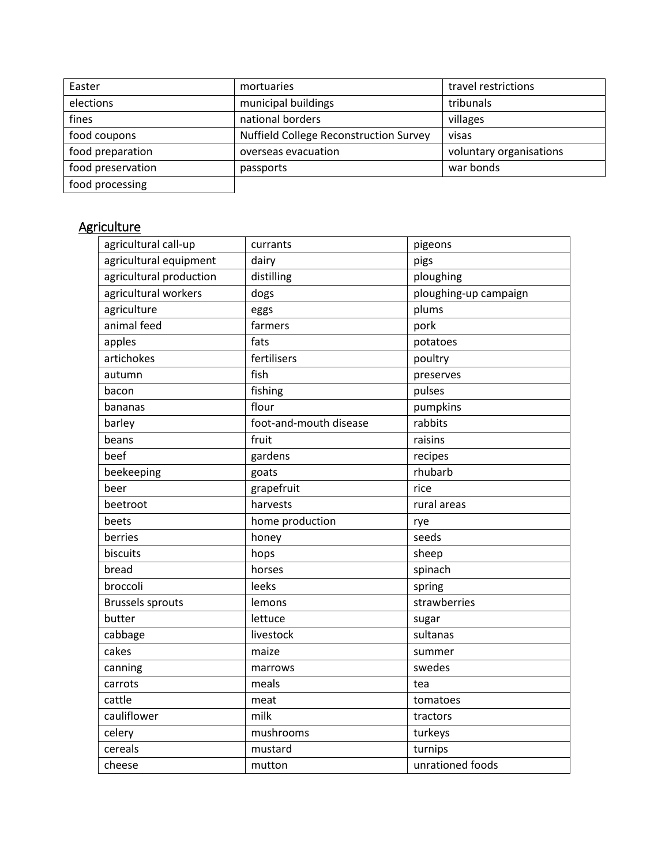| Easter            | mortuaries                                    | travel restrictions     |
|-------------------|-----------------------------------------------|-------------------------|
| elections         | municipal buildings                           | tribunals               |
| fines             | national borders                              | villages                |
| food coupons      | <b>Nuffield College Reconstruction Survey</b> | visas                   |
| food preparation  | overseas evacuation                           | voluntary organisations |
| food preservation | passports                                     | war bonds               |
| food processing   |                                               |                         |

# <span id="page-1-0"></span>**Agriculture**

| agricultural call-up    | currants               | pigeons               |
|-------------------------|------------------------|-----------------------|
| agricultural equipment  | dairy                  | pigs                  |
| agricultural production | distilling             | ploughing             |
| agricultural workers    | dogs                   | ploughing-up campaign |
| agriculture             | eggs                   | plums                 |
| animal feed             | farmers                | pork                  |
| apples                  | fats                   | potatoes              |
| artichokes              | fertilisers            | poultry               |
| autumn                  | fish                   | preserves             |
| bacon                   | fishing                | pulses                |
| bananas                 | flour                  | pumpkins              |
| barley                  | foot-and-mouth disease | rabbits               |
| beans                   | fruit                  | raisins               |
| beef                    | gardens                | recipes               |
| beekeeping              | goats                  | rhubarb               |
| beer                    | grapefruit             | rice                  |
| beetroot                | harvests               | rural areas           |
| beets                   | home production        | rye                   |
| berries                 | honey                  | seeds                 |
| biscuits                | hops                   | sheep                 |
| bread                   | horses                 | spinach               |
| broccoli                | leeks                  | spring                |
| <b>Brussels sprouts</b> | lemons                 | strawberries          |
| butter                  | lettuce                | sugar                 |
| cabbage                 | livestock              | sultanas              |
| cakes                   | maize                  | summer                |
| canning                 | marrows                | swedes                |
| carrots                 | meals                  | tea                   |
| cattle                  | meat                   | tomatoes              |
| cauliflower             | milk                   | tractors              |
| celery                  | mushrooms              | turkeys               |
| cereals                 | mustard                | turnips               |
| cheese                  | mutton                 | unrationed foods      |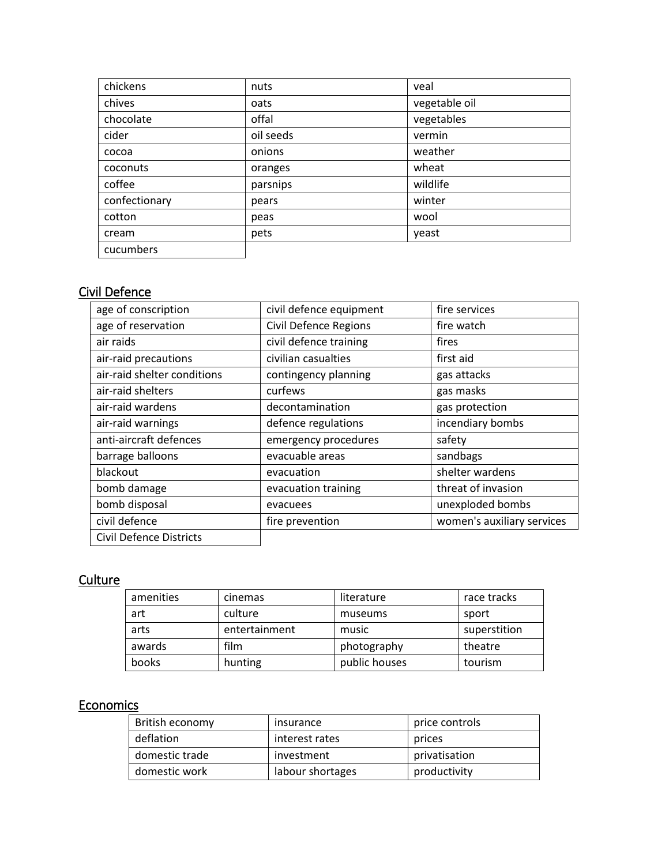| chickens      | nuts      | veal          |
|---------------|-----------|---------------|
| chives        | oats      | vegetable oil |
| chocolate     | offal     | vegetables    |
| cider         | oil seeds | vermin        |
| cocoa         | onions    | weather       |
| coconuts      | oranges   | wheat         |
| coffee        | parsnips  | wildlife      |
| confectionary | pears     | winter        |
| cotton        | peas      | wool          |
| cream         | pets      | yeast         |
| cucumbers     |           |               |

## <span id="page-2-0"></span>Civil Defence

| age of conscription         | civil defence equipment      | fire services              |
|-----------------------------|------------------------------|----------------------------|
| age of reservation          | <b>Civil Defence Regions</b> | fire watch                 |
| air raids                   | civil defence training       | fires                      |
| air-raid precautions        | civilian casualties          | first aid                  |
| air-raid shelter conditions | contingency planning         | gas attacks                |
| air-raid shelters           | curfews                      | gas masks                  |
| air-raid wardens            | decontamination              | gas protection             |
| air-raid warnings           | defence regulations          | incendiary bombs           |
| anti-aircraft defences      | emergency procedures         | safety                     |
| barrage balloons            | evacuable areas              | sandbags                   |
| blackout                    | evacuation                   | shelter wardens            |
| bomb damage                 | evacuation training          | threat of invasion         |
| bomb disposal               | evacuees                     | unexploded bombs           |
| civil defence               | fire prevention              | women's auxiliary services |
| Civil Defence Districts     |                              |                            |

## <span id="page-2-1"></span>**Culture**

| amenities | cinemas       | literature    | race tracks  |
|-----------|---------------|---------------|--------------|
| art       | culture       | museums       | sport        |
| arts      | entertainment | music         | superstition |
| awards    | film          | photography   | theatre      |
| books     | hunting       | public houses | tourism      |

#### <span id="page-2-2"></span>**Economics**

| British economy | insurance        | price controls |
|-----------------|------------------|----------------|
| deflation       | interest rates   | prices         |
| domestic trade  | investment       | privatisation  |
| domestic work   | labour shortages | productivity   |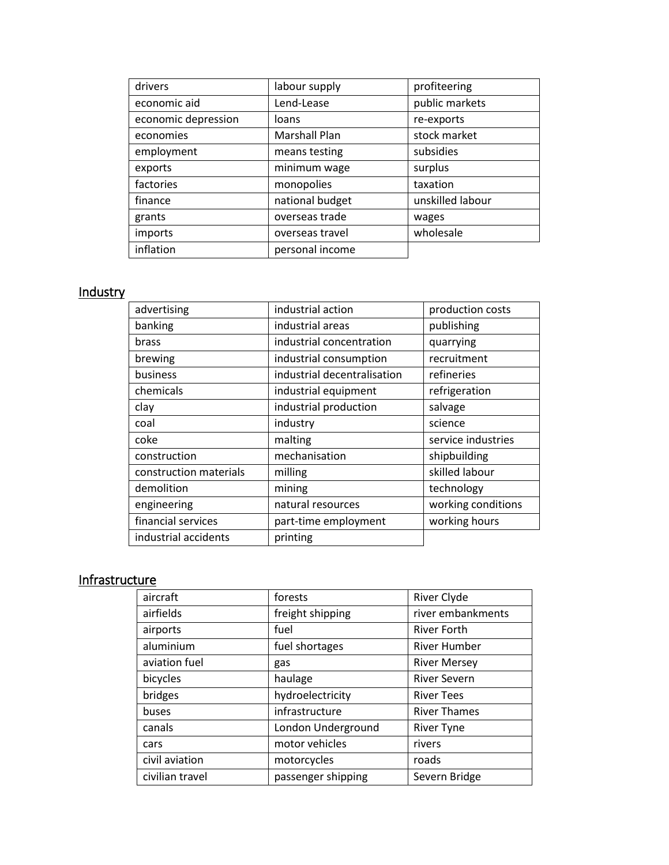| drivers             | labour supply        | profiteering     |
|---------------------|----------------------|------------------|
| economic aid        | Lend-Lease           | public markets   |
| economic depression | loans                | re-exports       |
| economies           | <b>Marshall Plan</b> | stock market     |
| employment          | means testing        | subsidies        |
| exports             | minimum wage         | surplus          |
| factories           | monopolies           | taxation         |
| finance             | national budget      | unskilled labour |
| grants              | overseas trade       | wages            |
| imports             | overseas travel      | wholesale        |
| inflation           | personal income      |                  |

## <span id="page-3-0"></span>**Industry**

| advertising            | industrial action           | production costs   |
|------------------------|-----------------------------|--------------------|
| banking                | industrial areas            | publishing         |
| brass                  | industrial concentration    | quarrying          |
| brewing                | industrial consumption      | recruitment        |
| business               | industrial decentralisation | refineries         |
| chemicals              | industrial equipment        | refrigeration      |
| clay                   | industrial production       | salvage            |
| coal                   | industry                    | science            |
| coke                   | malting                     | service industries |
| construction           | mechanisation               | shipbuilding       |
| construction materials | milling                     | skilled labour     |
| demolition             | mining                      | technology         |
| engineering            | natural resources           | working conditions |
| financial services     | part-time employment        | working hours      |
| industrial accidents   | printing                    |                    |

## <span id="page-3-1"></span>**Infrastructure**

| aircraft        | forests            | River Clyde         |
|-----------------|--------------------|---------------------|
| airfields       | freight shipping   | river embankments   |
| airports        | fuel               | <b>River Forth</b>  |
| aluminium       | fuel shortages     | <b>River Humber</b> |
| aviation fuel   | gas                | <b>River Mersey</b> |
| bicycles        | haulage            | <b>River Severn</b> |
| bridges         | hydroelectricity   | <b>River Tees</b>   |
| buses           | infrastructure     | <b>River Thames</b> |
| canals          | London Underground | <b>River Tyne</b>   |
| cars            | motor vehicles     | rivers              |
| civil aviation  | motorcycles        | roads               |
| civilian travel | passenger shipping | Severn Bridge       |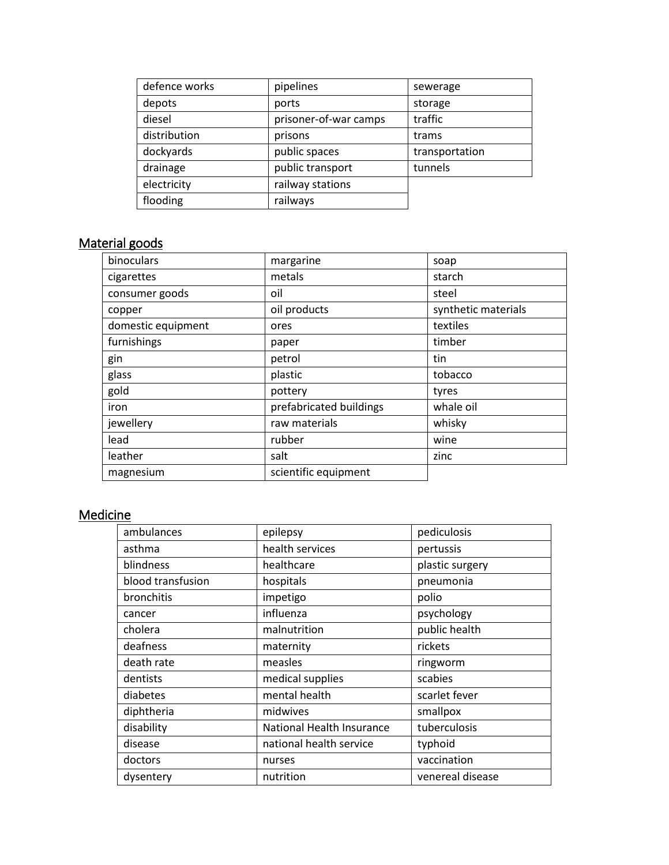| defence works | pipelines             | sewerage       |
|---------------|-----------------------|----------------|
| depots        | ports                 | storage        |
| diesel        | prisoner-of-war camps | traffic        |
| distribution  | prisons               | trams          |
| dockyards     | public spaces         | transportation |
| drainage      | public transport      | tunnels        |
| electricity   | railway stations      |                |
| flooding      | railways              |                |

#### <span id="page-4-0"></span>Material goods

| binoculars         | margarine               | soap                |
|--------------------|-------------------------|---------------------|
| cigarettes         | metals                  | starch              |
| consumer goods     | oil                     | steel               |
| copper             | oil products            | synthetic materials |
| domestic equipment | ores                    | textiles            |
| furnishings        | paper                   | timber              |
| gin                | petrol                  | tin                 |
| glass              | plastic                 | tobacco             |
| gold               | pottery                 | tyres               |
| iron               | prefabricated buildings | whale oil           |
| jewellery          | raw materials           | whisky              |
| lead               | rubber                  | wine                |
| leather            | salt                    | zinc                |
| magnesium          | scientific equipment    |                     |

## <span id="page-4-1"></span>Medicine

| ambulances        | epilepsy                  | pediculosis      |
|-------------------|---------------------------|------------------|
| asthma            | health services           | pertussis        |
| blindness         | healthcare                | plastic surgery  |
| blood transfusion | hospitals                 | pneumonia        |
| bronchitis        | impetigo                  | polio            |
| cancer            | influenza                 | psychology       |
| cholera           | malnutrition              | public health    |
| deafness          | maternity                 | rickets          |
| death rate        | measles                   | ringworm         |
| dentists          | medical supplies          | scabies          |
| diabetes          | mental health             | scarlet fever    |
| diphtheria        | midwives                  | smallpox         |
| disability        | National Health Insurance | tuberculosis     |
| disease           | national health service   | typhoid          |
| doctors           | nurses                    | vaccination      |
| dysentery         | nutrition                 | venereal disease |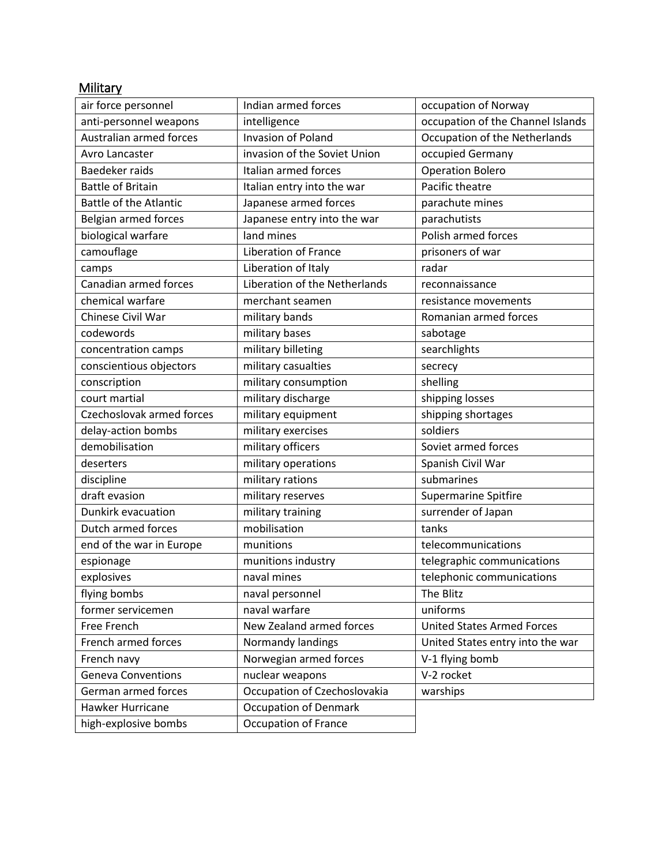## <span id="page-5-0"></span>**Military**

| air force personnel           | Indian armed forces           | occupation of Norway              |
|-------------------------------|-------------------------------|-----------------------------------|
| anti-personnel weapons        | intelligence                  | occupation of the Channel Islands |
| Australian armed forces       | <b>Invasion of Poland</b>     | Occupation of the Netherlands     |
| Avro Lancaster                | invasion of the Soviet Union  | occupied Germany                  |
| Baedeker raids                | Italian armed forces          | <b>Operation Bolero</b>           |
| <b>Battle of Britain</b>      | Italian entry into the war    | Pacific theatre                   |
| <b>Battle of the Atlantic</b> | Japanese armed forces         | parachute mines                   |
| Belgian armed forces          | Japanese entry into the war   | parachutists                      |
| biological warfare            | land mines                    | Polish armed forces               |
| camouflage                    | <b>Liberation of France</b>   | prisoners of war                  |
| camps                         | Liberation of Italy           | radar                             |
| Canadian armed forces         | Liberation of the Netherlands | reconnaissance                    |
| chemical warfare              | merchant seamen               | resistance movements              |
| Chinese Civil War             | military bands                | Romanian armed forces             |
| codewords                     | military bases                | sabotage                          |
| concentration camps           | military billeting            | searchlights                      |
| conscientious objectors       | military casualties           | secrecy                           |
| conscription                  | military consumption          | shelling                          |
| court martial                 | military discharge            | shipping losses                   |
| Czechoslovak armed forces     | military equipment            | shipping shortages                |
| delay-action bombs            | military exercises            | soldiers                          |
| demobilisation                | military officers             | Soviet armed forces               |
| deserters                     | military operations           | Spanish Civil War                 |
| discipline                    | military rations              | submarines                        |
| draft evasion                 | military reserves             | Supermarine Spitfire              |
| Dunkirk evacuation            | military training             | surrender of Japan                |
| Dutch armed forces            | mobilisation                  | tanks                             |
| end of the war in Europe      | munitions                     | telecommunications                |
| espionage                     | munitions industry            | telegraphic communications        |
| explosives                    | naval mines                   | telephonic communications         |
| flying bombs                  | naval personnel               | The Blitz                         |
| former servicemen             | naval warfare                 | uniforms                          |
| Free French                   | New Zealand armed forces      | <b>United States Armed Forces</b> |
| French armed forces           | Normandy landings             | United States entry into the war  |
| French navy                   | Norwegian armed forces        | V-1 flying bomb                   |
| <b>Geneva Conventions</b>     | nuclear weapons               | V-2 rocket                        |
| German armed forces           | Occupation of Czechoslovakia  | warships                          |
| Hawker Hurricane              | <b>Occupation of Denmark</b>  |                                   |
| high-explosive bombs          | <b>Occupation of France</b>   |                                   |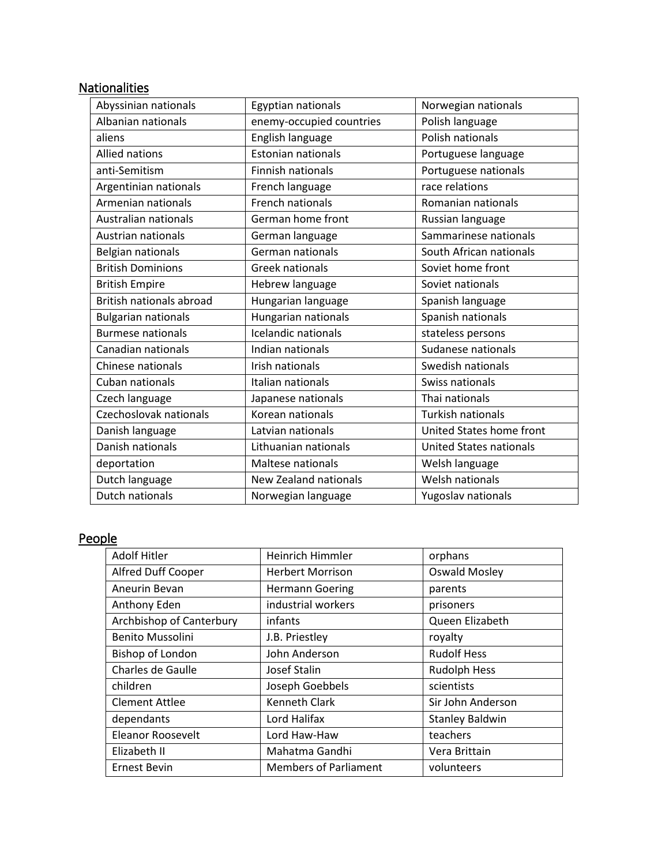## <span id="page-6-0"></span>**Nationalities**

| Abyssinian nationals            | Egyptian nationals       | Norwegian nationals            |
|---------------------------------|--------------------------|--------------------------------|
| Albanian nationals              | enemy-occupied countries | Polish language                |
| aliens                          | English language         | Polish nationals               |
| <b>Allied nations</b>           | Estonian nationals       | Portuguese language            |
| anti-Semitism                   | Finnish nationals        | Portuguese nationals           |
| Argentinian nationals           | French language          | race relations                 |
| Armenian nationals              | French nationals         | Romanian nationals             |
| Australian nationals            | German home front        | Russian language               |
| Austrian nationals              | German language          | Sammarinese nationals          |
| <b>Belgian nationals</b>        | German nationals         | South African nationals        |
| <b>British Dominions</b>        | <b>Greek nationals</b>   | Soviet home front              |
| <b>British Empire</b>           | Hebrew language          | Soviet nationals               |
| <b>British nationals abroad</b> | Hungarian language       | Spanish language               |
| <b>Bulgarian nationals</b>      | Hungarian nationals      | Spanish nationals              |
| <b>Burmese nationals</b>        | Icelandic nationals      | stateless persons              |
| Canadian nationals              | Indian nationals         | Sudanese nationals             |
| Chinese nationals               | Irish nationals          | Swedish nationals              |
| Cuban nationals                 | Italian nationals        | Swiss nationals                |
| Czech language                  | Japanese nationals       | Thai nationals                 |
| Czechoslovak nationals          | Korean nationals         | Turkish nationals              |
| Danish language                 | Latvian nationals        | United States home front       |
| Danish nationals                | Lithuanian nationals     | <b>United States nationals</b> |
| deportation                     | Maltese nationals        | Welsh language                 |
| Dutch language                  | New Zealand nationals    | Welsh nationals                |
| <b>Dutch nationals</b>          | Norwegian language       | Yugoslav nationals             |

## <span id="page-6-1"></span>People

| <b>Adolf Hitler</b>      | <b>Heinrich Himmler</b>      | orphans                |
|--------------------------|------------------------------|------------------------|
| Alfred Duff Cooper       | <b>Herbert Morrison</b>      | <b>Oswald Mosley</b>   |
| Aneurin Bevan            | <b>Hermann Goering</b>       | parents                |
| Anthony Eden             | industrial workers           | prisoners              |
| Archbishop of Canterbury | infants                      | Queen Elizabeth        |
| Benito Mussolini         | J.B. Priestley               | royalty                |
| <b>Bishop of London</b>  | John Anderson                | <b>Rudolf Hess</b>     |
| Charles de Gaulle        | Josef Stalin                 | <b>Rudolph Hess</b>    |
| children                 | Joseph Goebbels              | scientists             |
| <b>Clement Attlee</b>    | <b>Kenneth Clark</b>         | Sir John Anderson      |
| dependants               | Lord Halifax                 | <b>Stanley Baldwin</b> |
| <b>Eleanor Roosevelt</b> | Lord Haw-Haw                 | teachers               |
| Elizabeth II             | Mahatma Gandhi               | Vera Brittain          |
| <b>Ernest Bevin</b>      | <b>Members of Parliament</b> | volunteers             |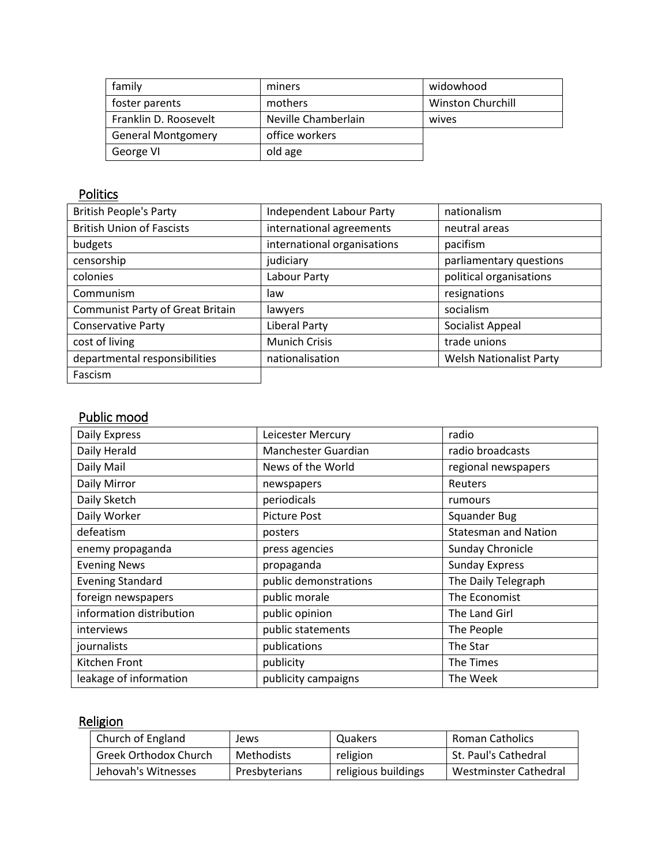| family                    | miners              | widowhood                |
|---------------------------|---------------------|--------------------------|
| foster parents            | mothers             | <b>Winston Churchill</b> |
| Franklin D. Roosevelt     | Neville Chamberlain | wives                    |
| <b>General Montgomery</b> | office workers      |                          |
| George VI                 | old age             |                          |

## <span id="page-7-0"></span>**Politics**

| <b>British People's Party</b>           | <b>Independent Labour Party</b> | nationalism                    |
|-----------------------------------------|---------------------------------|--------------------------------|
| <b>British Union of Fascists</b>        | international agreements        | neutral areas                  |
| budgets                                 | international organisations     | pacifism                       |
| censorship                              | judiciary                       | parliamentary questions        |
| colonies                                | Labour Party                    | political organisations        |
| Communism                               | law                             | resignations                   |
| <b>Communist Party of Great Britain</b> | lawyers                         | socialism                      |
| <b>Conservative Party</b>               | <b>Liberal Party</b>            | Socialist Appeal               |
| cost of living                          | <b>Munich Crisis</b>            | trade unions                   |
| departmental responsibilities           | nationalisation                 | <b>Welsh Nationalist Party</b> |
| Fascism                                 |                                 |                                |

## <span id="page-7-1"></span>Public mood

| Daily Express            | Leicester Mercury     | radio                       |
|--------------------------|-----------------------|-----------------------------|
| Daily Herald             | Manchester Guardian   | radio broadcasts            |
| Daily Mail               | News of the World     | regional newspapers         |
| Daily Mirror             | newspapers            | Reuters                     |
| Daily Sketch             | periodicals           | rumours                     |
| Daily Worker             | <b>Picture Post</b>   | <b>Squander Bug</b>         |
| defeatism                | posters               | <b>Statesman and Nation</b> |
| enemy propaganda         | press agencies        | Sunday Chronicle            |
| <b>Evening News</b>      | propaganda            | <b>Sunday Express</b>       |
| <b>Evening Standard</b>  | public demonstrations | The Daily Telegraph         |
| foreign newspapers       | public morale         | The Economist               |
| information distribution | public opinion        | The Land Girl               |
| interviews               | public statements     | The People                  |
| journalists              | publications          | The Star                    |
| Kitchen Front            | publicity             | The Times                   |
| leakage of information   | publicity campaigns   | The Week                    |

## <span id="page-7-2"></span>Religion

| Church of England            | Jews              | Quakers             | Roman Catholics       |
|------------------------------|-------------------|---------------------|-----------------------|
| <b>Greek Orthodox Church</b> | <b>Methodists</b> | religion            | St. Paul's Cathedral  |
| Jehovah's Witnesses          | Presbyterians     | religious buildings | Westminster Cathedral |